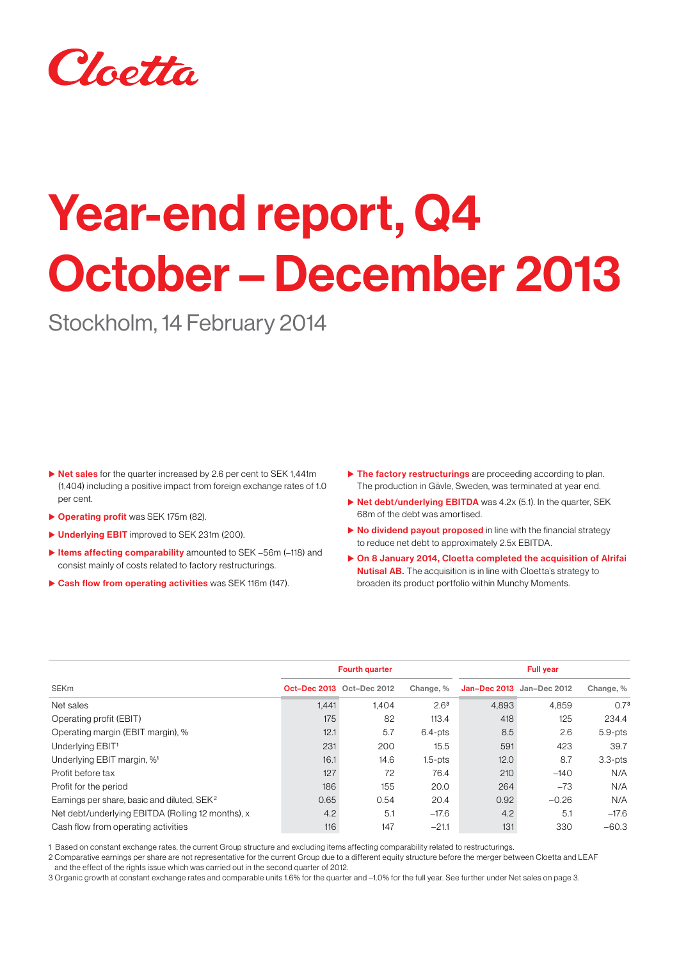

# Year-end report, Q4 October – December 2013

Stockholm, 14 February 2014

- $\triangleright$  Net sales for the quarter increased by 2.6 per cent to SEK 1,441m (1,404) including a positive impact from foreign exchange rates of 1.0 per cent.
- **Derating profit** was SEK 175m (82).
- ▶ Underlying EBIT improved to SEK 231m (200).
- $\blacktriangleright$  Items affecting comparability amounted to SEK –56m (–118) and consist mainly of costs related to factory restructurings.
- $\triangleright$  Cash flow from operating activities was SEK 116m (147).
- $\triangleright$  The factory restructurings are proceeding according to plan. The production in Gävle, Sweden, was terminated at year end.
- $\triangleright$  Net debt/underlying EBITDA was 4.2x (5.1). In the quarter, SEK 68m of the debt was amortised.
- $\triangleright$  No dividend payout proposed in line with the financial strategy to reduce net debt to approximately 2.5x EBITDA.
- $\triangleright$  On 8 January 2014, Cloetta completed the acquisition of Alrifai **Nutisal AB.** The acquisition is in line with Cloetta's strategy to broaden its product portfolio within Munchy Moments.

|                                                         |       | <b>Fourth quarter</b>            |                  | <b>Full year</b>                 |         |                  |  |
|---------------------------------------------------------|-------|----------------------------------|------------------|----------------------------------|---------|------------------|--|
| SEKm                                                    |       | <b>Oct-Dec 2013</b> Oct-Dec 2012 | Change, %        | <b>Jan-Dec 2013</b> Jan-Dec 2012 |         | Change, %        |  |
| Net sales                                               | 1.441 | 1.404                            | 2.6 <sup>3</sup> | 4.893                            | 4.859   | 0.7 <sup>3</sup> |  |
| Operating profit (EBIT)                                 | 175   | 82                               | 113.4            | 418                              | 125     | 234.4            |  |
| Operating margin (EBIT margin), %                       | 12.1  | 5.7                              | $6.4$ -pts       | 8.5                              | 2.6     | $5.9$ -pts       |  |
| Underlying EBIT <sup>1</sup>                            | 231   | 200                              | 15.5             | 591                              | 423     | 39.7             |  |
| Underlying EBIT margin, % <sup>1</sup>                  | 16.1  | 14.6                             | $1.5$ -pts       | 12.0                             | 8.7     | $3.3$ - $pts$    |  |
| Profit before tax                                       | 127   | 72                               | 76.4             | 210                              | $-140$  | N/A              |  |
| Profit for the period                                   | 186   | 155                              | 20.0             | 264                              | $-73$   | N/A              |  |
| Earnings per share, basic and diluted, SEK <sup>2</sup> | 0.65  | 0.54                             | 20.4             | 0.92                             | $-0.26$ | N/A              |  |
| Net debt/underlying EBITDA (Rolling 12 months), x       | 4.2   | 5.1                              | $-17.6$          | 4.2                              | 5.1     | $-17.6$          |  |
| Cash flow from operating activities                     | 116   | 147                              | $-21.1$          | 131                              | 330     | $-60.3$          |  |

1 Based on constant exchange rates, the current Group structure and excluding items affecting comparability related to restructurings.

2 Comparative earnings per share are not representative for the current Group due to a different equity structure before the merger between Cloetta and LEAF and the effect of the rights issue which was carried out in the second quarter of 2012.

3 Organic growth at constant exchange rates and comparable units 1.6% for the quarter and –1.0% for the full year. See further under Net sales on page 3.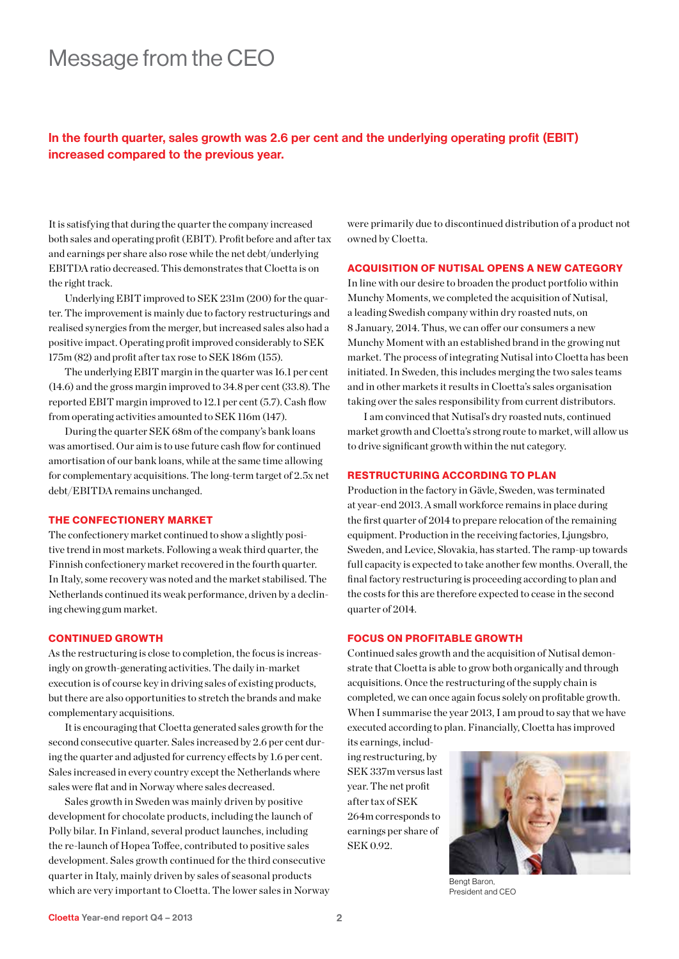### Message from the CEO

#### In the fourth quarter, sales growth was 2.6 per cent and the underlying operating profit (EBIT) increased compared to the previous year.

It is satisfying that during the quarter the company increased both sales and operating profit (EBIT). Profit before and after tax and earnings per share also rose while the net debt/underlying EBITDA ratio decreased. This demonstrates that Cloetta is on the right track.

Underlying EBIT improved to SEK 231m (200) for the quarter. The improvement is mainly due to factory restructurings and realised synergies from the merger, but increased sales also had a positive impact. Operating profit improved considerably to SEK 175m (82) and profit after tax rose to SEK 186m (155).

The underlying EBIT margin in the quarter was 16.1 per cent (14.6) and the gross margin improved to 34.8 per cent (33.8). The reported EBIT margin improved to 12.1 per cent (5.7). Cash flow from operating activities amounted to SEK 116m (147).

During the quarter SEK 68m of the company's bank loans was amortised. Our aim is to use future cash flow for continued amortisation of our bank loans, while at the same time allowing for complementary acquisitions. The long-term target of 2.5x net debt/EBITDA remains unchanged.

#### THE CONFECTIONERY MARKET

The confectionery market continued to show a slightly positive trend in most markets. Following a weak third quarter, the Finnish confectionery market recovered in the fourth quarter. In Italy, some recovery was noted and the market stabilised. The Netherlands continued its weak performance, driven by a declining chewing gum market.

#### CONTINUED GROWTH

As the restructuring is close to completion, the focus is increasingly on growth-generating activities. The daily in-market execution is of course key in driving sales of existing products, but there are also opportunities to stretch the brands and make complementary acquisitions.

It is encouraging that Cloetta generated sales growth for the second consecutive quarter. Sales increased by 2.6 per cent during the quarter and adjusted for currency effects by 1.6 per cent. Sales increased in every country except the Netherlands where sales were flat and in Norway where sales decreased.

Sales growth in Sweden was mainly driven by positive development for chocolate products, including the launch of Polly bilar. In Finland, several product launches, including the re-launch of Hopea Toffee, contributed to positive sales development. Sales growth continued for the third consecutive quarter in Italy, mainly driven by sales of seasonal products which are very important to Cloetta. The lower sales in Norway were primarily due to discontinued distribution of a product not owned by Cloetta.

#### ACQUISITION OF NUTISAL OPENS A NEW CATEGORY

In line with our desire to broaden the product portfolio within Munchy Moments, we completed the acquisition of Nutisal, a leading Swedish company within dry roasted nuts, on 8 January, 2014. Thus, we can offer our consumers a new Munchy Moment with an established brand in the growing nut market. The process of integrating Nutisal into Cloetta has been initiated. In Sweden, this includes merging the two sales teams and in other markets it results in Cloetta's sales organisation taking over the sales responsibility from current distributors.

I am convinced that Nutisal's dry roasted nuts, continued market growth and Cloetta's strong route to market, will allow us to drive significant growth within the nut category.

#### RESTRUCTURING ACCORDING TO PLAN

Production in the factory in Gävle, Sweden, was terminated at year-end 2013. A small workforce remains in place during the first quarter of 2014 to prepare relocation of the remaining equipment. Production in the receiving factories, Ljungsbro, Sweden, and Levice, Slovakia, has started. The ramp-up towards full capacity is expected to take another few months. Overall, the final factory restructuring is proceeding according to plan and the costs for this are therefore expected to cease in the second quarter of 2014.

#### FOCUS ON PROFITABLE GROWTH

Continued sales growth and the acquisition of Nutisal demonstrate that Cloetta is able to grow both organically and through acquisitions. Once the restructuring of the supply chain is completed, we can once again focus solely on profitable growth. When I summarise the year 2013, I am proud to say that we have executed according to plan. Financially, Cloetta has improved

its earnings, including restructuring, by SEK 337m versus last year. The net profit after tax of SEK 264m corresponds to earnings per share of SEK 0.92.



Bengt Baron, President and CEO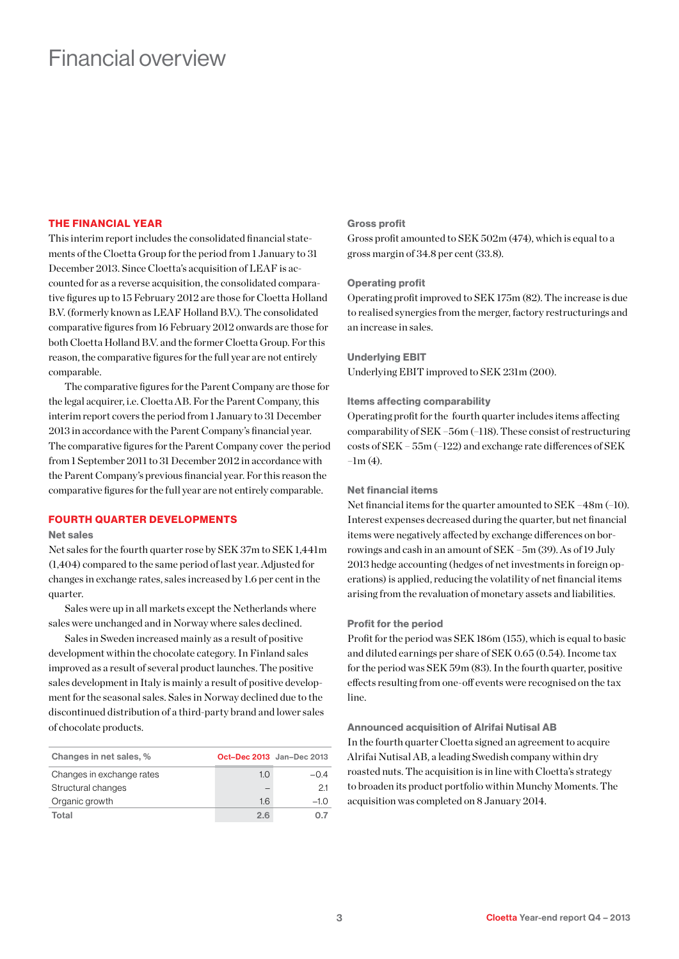### Financial overview

#### THE FINANCIAL YEAR

This interim report includes the consolidated financial statements of the Cloetta Group for the period from 1 January to 31 December 2013. Since Cloetta's acquisition of LEAF is accounted for as a reverse acquisition, the consolidated comparative figures up to 15 February 2012 are those for Cloetta Holland B.V. (formerly known as LEAF Holland B.V.). The consolidated comparative figures from 16 February 2012 onwards are those for both Cloetta Holland B.V. and the former Cloetta Group. For this reason, the comparative figures for the full year are not entirely comparable.

The comparative figures for the Parent Company are those for the legal acquirer, i.e. Cloetta AB. For the Parent Company, this interim report covers the period from 1 January to 31 December 2013 in accordance with the Parent Company's financial year. The comparative figures for the Parent Company cover the period from 1 September 2011 to 31 December 2012 in accordance with the Parent Company's previous financial year. For this reason the comparative figures for the full year are not entirely comparable.

#### FOURTH QUARTER DEVELOPMENTS

#### Net sales

Net sales for the fourth quarter rose by SEK 37m to SEK 1,441m (1,404) compared to the same period of last year. Adjusted for changes in exchange rates, sales increased by 1.6 per cent in the quarter.

Sales were up in all markets except the Netherlands where sales were unchanged and in Norway where sales declined.

Sales in Sweden increased mainly as a result of positive development within the chocolate category. In Finland sales improved as a result of several product launches. The positive sales development in Italy is mainly a result of positive development for the seasonal sales. Sales in Norway declined due to the discontinued distribution of a third-party brand and lower sales of chocolate products.

| Changes in net sales, %   | <b>Oct-Dec 2013</b> Jan-Dec 2013 |        |
|---------------------------|----------------------------------|--------|
| Changes in exchange rates | 1.0                              | $-0.4$ |
| Structural changes        |                                  | 21     |
| Organic growth            | 1.6                              | $-10$  |
| Total                     | 2.6                              | 0.7    |

#### Gross profit

Gross profit amounted to SEK 502m (474), which is equal to a gross margin of 34.8 per cent (33.8).

#### Operating profit

Operating profit improved to SEK 175m (82). The increase is due to realised synergies from the merger, factory restructurings and an increase in sales.

#### Underlying EBIT

Underlying EBIT improved to SEK 231m (200).

#### Items affecting comparability

Operating profit for the fourth quarter includes items affecting comparability of SEK –56m (–118). These consist of restructuring costs of SEK – 55m (–122) and exchange rate differences of SEK  $-1m(4)$ .

#### Net financial items

Net financial items for the quarter amounted to SEK –48m (–10). Interest expenses decreased during the quarter, but net financial items were negatively affected by exchange differences on borrowings and cash in an amount of SEK –5m (39). As of 19 July 2013 hedge accounting (hedges of net investments in foreign operations) is applied, reducing the volatility of net financial items arising from the revaluation of monetary assets and liabilities.

#### Profit for the period

Profit for the period was SEK 186m (155), which is equal to basic and diluted earnings per share of SEK 0.65 (0.54). Income tax for the period was SEK 59m (83). In the fourth quarter, positive effects resulting from one-off events were recognised on the tax line.

Announced acquisition of Alrifai Nutisal AB In the fourth quarter Cloetta signed an agreement to acquire Alrifai Nutisal AB, a leading Swedish company within dry roasted nuts. The acquisition is in line with Cloetta's strategy to broaden its product portfolio within Munchy Moments. The acquisition was completed on 8 January 2014.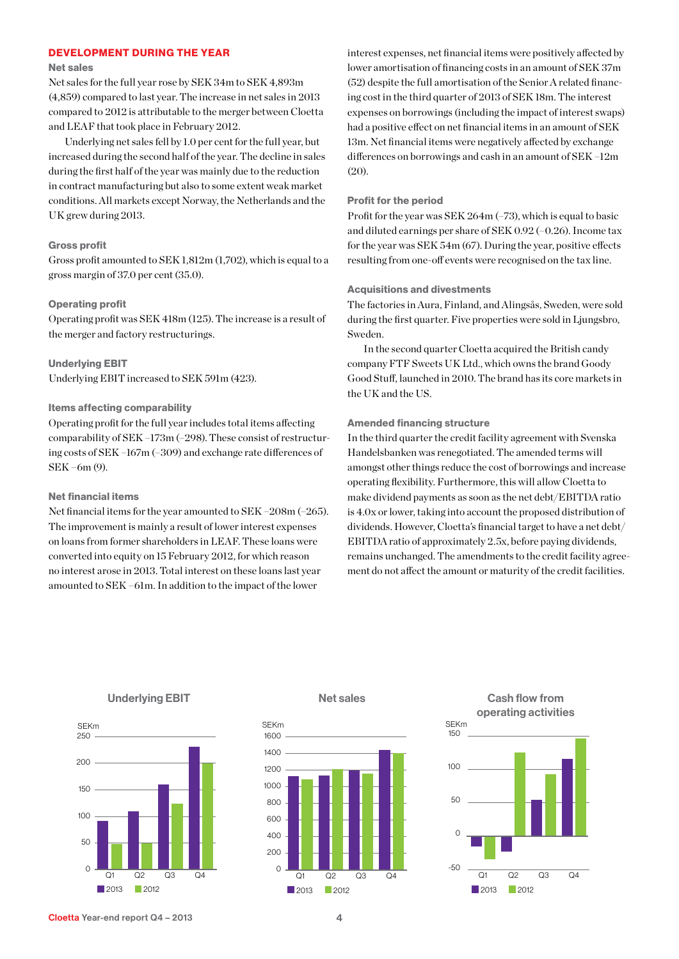#### DEVELOPMENT DURING THE YEAR

#### Net sales

Net sales for the full year rose by SEK 34m to SEK 4,893m (4,859) compared to last year. The increase in net sales in 2013 compared to 2012 is attributable to the merger between Cloetta and LEAF that took place in February 2012.

Underlying net sales fell by 1.0 per cent for the full year, but increased during the second half of the year. The decline in sales during the first half of the year was mainly due to the reduction in contract manufacturing but also to some extent weak market conditions. All markets except Norway, the Netherlands and the UK grew during 2013.

#### Gross profit

Gross profit amounted to SEK 1,812m (1,702), which is equal to a gross margin of 37.0 per cent (35.0).

#### Operating profit

Operating profit was SEK 418m (125). The increase is a result of the merger and factory restructurings.

Underlying EBIT Underlying EBIT increased to SEK 591m (423).

#### Items affecting comparability

Operating profit for the full year includes total items affecting comparability of SEK –173m (–298). These consist of restructuring costs of SEK –167m (–309) and exchange rate differences of SEK –6m (9).

#### Net financial items

Net financial items for the year amounted to SEK –208m (–265). The improvement is mainly a result of lower interest expenses on loans from former shareholders in LEAF. These loans were converted into equity on 15 February 2012, for which reason no interest arose in 2013. Total interest on these loans last year amounted to SEK –61m. In addition to the impact of the lower

interest expenses, net financial items were positively affected by lower amortisation of financing costs in an amount of SEK 37m (52) despite the full amortisation of the Senior A related financing cost in the third quarter of 2013 of SEK 18m. The interest expenses on borrowings (including the impact of interest swaps) had a positive effect on net financial items in an amount of SEK 13m. Net financial items were negatively affected by exchange differences on borrowings and cash in an amount of SEK –12m (20).

#### Profit for the period

Profit for the year was SEK 264m (–73), which is equal to basic and diluted earnings per share of SEK 0.92 (–0.26). Income tax for the year was SEK 54m (67). During the year, positive effects resulting from one-off events were recognised on the tax line.

#### Acquisitions and divestments

The factories in Aura, Finland, and Alingsås, Sweden, were sold during the first quarter. Five properties were sold in Liungsbro. Sweden.

In the second quarter Cloetta acquired the British candy company FTF Sweets UK Ltd., which owns the brand Goody Good Stuff, launched in 2010. The brand has its core markets in the UK and the US.

#### Amended financing structure

In the third quarter the credit facility agreement with Svenska Handelsbanken was renegotiated. The amended terms will amongst other things reduce the cost of borrowings and increase operating flexibility. Furthermore, this will allow Cloetta to make dividend payments as soon as the net debt/EBITDA ratio is 4.0x or lower, taking into account the proposed distribution of dividends. However, Cloetta's financial target to have a net debt/ EBITDA ratio of approximately 2.5x, before paying dividends, remains unchanged. The amendments to the credit facility agreement do not affect the amount or maturity of the credit facilities.



#### Underlying EBIT



Net sales

Cash flow from operating activities

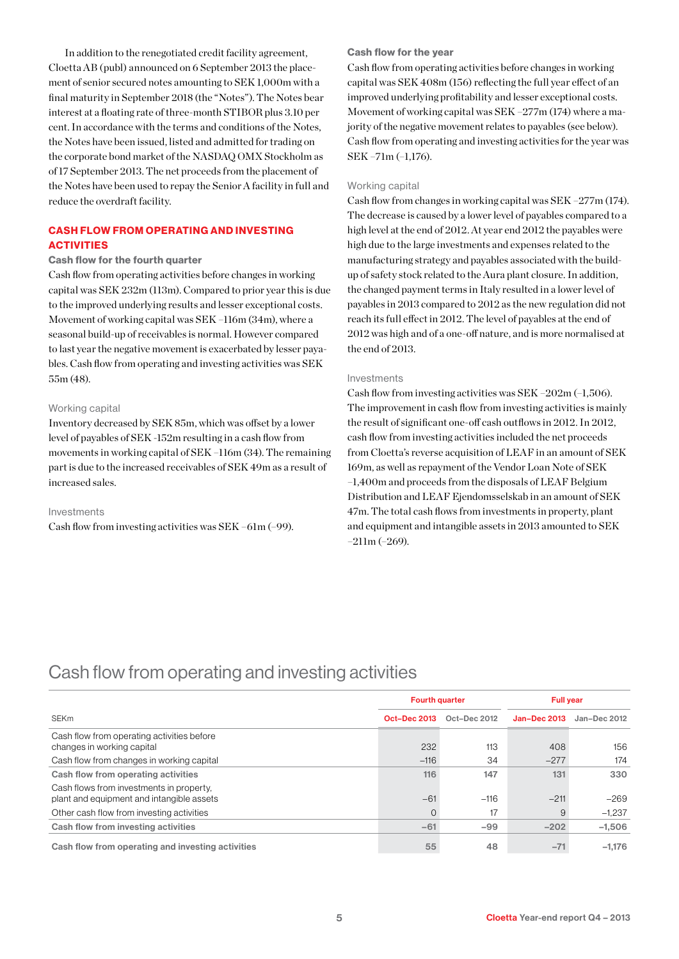In addition to the renegotiated credit facility agreement, Cloetta AB (publ) announced on 6 September 2013 the placement of senior secured notes amounting to SEK 1,000m with a final maturity in September 2018 (the "Notes"). The Notes bear interest at a floating rate of three-month STIBOR plus 3.10 per cent. In accordance with the terms and conditions of the Notes, the Notes have been issued, listed and admitted for trading on the corporate bond market of the NASDAQ OMX Stockholm as of 17 September 2013. The net proceeds from the placement of the Notes have been used to repay the Senior A facility in full and reduce the overdraft facility.

#### CASH FLOW FROM OPERATING AND INVESTING **ACTIVITIES**

#### Cash flow for the fourth quarter

Cash flow from operating activities before changes in working capital was SEK 232m (113m). Compared to prior year this is due to the improved underlying results and lesser exceptional costs. Movement of working capital was SEK –116m (34m), where a seasonal build-up of receivables is normal. However compared to last year the negative movement is exacerbated by lesser payables. Cash flow from operating and investing activities was SEK 55m (48).

#### Working capital

Inventory decreased by SEK 85m, which was offset by a lower level of payables of SEK -152m resulting in a cash flow from movements in working capital of SEK –116m (34). The remaining part is due to the increased receivables of SEK 49m as a result of increased sales.

#### Investments

Cash flow from investing activities was SEK –61m (–99).

#### Cash flow for the year

Cash flow from operating activities before changes in working capital was SEK 408m (156) reflecting the full year effect of an improved underlying profitability and lesser exceptional costs. Movement of working capital was SEK –277m (174) where a majority of the negative movement relates to payables (see below). Cash flow from operating and investing activities for the year was SEK –71m (–1,176).

#### Working capital

Cash flow from changes in working capital was SEK –277m (174). The decrease is caused by a lower level of payables compared to a high level at the end of 2012. At year end 2012 the payables were high due to the large investments and expenses related to the manufacturing strategy and payables associated with the buildup of safety stock related to the Aura plant closure. In addition, the changed payment terms in Italy resulted in a lower level of payables in 2013 compared to 2012 as the new regulation did not reach its full effect in 2012. The level of payables at the end of 2012 was high and of a one-off nature, and is more normalised at the end of 2013.

#### Investments

Cash flow from investing activities was SEK –202m (–1,506). The improvement in cash flow from investing activities is mainly the result of significant one-off cash outflows in 2012. In 2012, cash flow from investing activities included the net proceeds from Cloetta's reverse acquisition of LEAF in an amount of SEK 169m, as well as repayment of the Vendor Loan Note of SEK –1,400m and proceeds from the disposals of LEAF Belgium Distribution and LEAF Ejendomsselskab in an amount of SEK 47m. The total cash flows from investments in property, plant and equipment and intangible assets in 2013 amounted to SEK –211m (–269).

### Cash flow from operating and investing activities

|                                                   | <b>Fourth quarter</b> |              | <b>Full vear</b>    |              |  |
|---------------------------------------------------|-----------------------|--------------|---------------------|--------------|--|
| <b>SEKm</b>                                       | <b>Oct-Dec 2013</b>   | Oct-Dec 2012 | <b>Jan-Dec 2013</b> | Jan-Dec 2012 |  |
| Cash flow from operating activities before        |                       |              |                     |              |  |
| changes in working capital                        | 232                   | 113          | 408                 | 156          |  |
| Cash flow from changes in working capital         | $-116$                | 34           | $-277$              | 174          |  |
| Cash flow from operating activities               | 116                   | 147          | 131                 | 330          |  |
| Cash flows from investments in property.          |                       |              |                     |              |  |
| plant and equipment and intangible assets         | $-61$                 | $-116$       | $-211$              | $-269$       |  |
| Other cash flow from investing activities         | $\Omega$              | 17           | 9                   | $-1.237$     |  |
| Cash flow from investing activities               | $-61$                 | $-99$        | $-202$              | $-1.506$     |  |
| Cash flow from operating and investing activities | 55                    | 48           | $-71$               | $-1.176$     |  |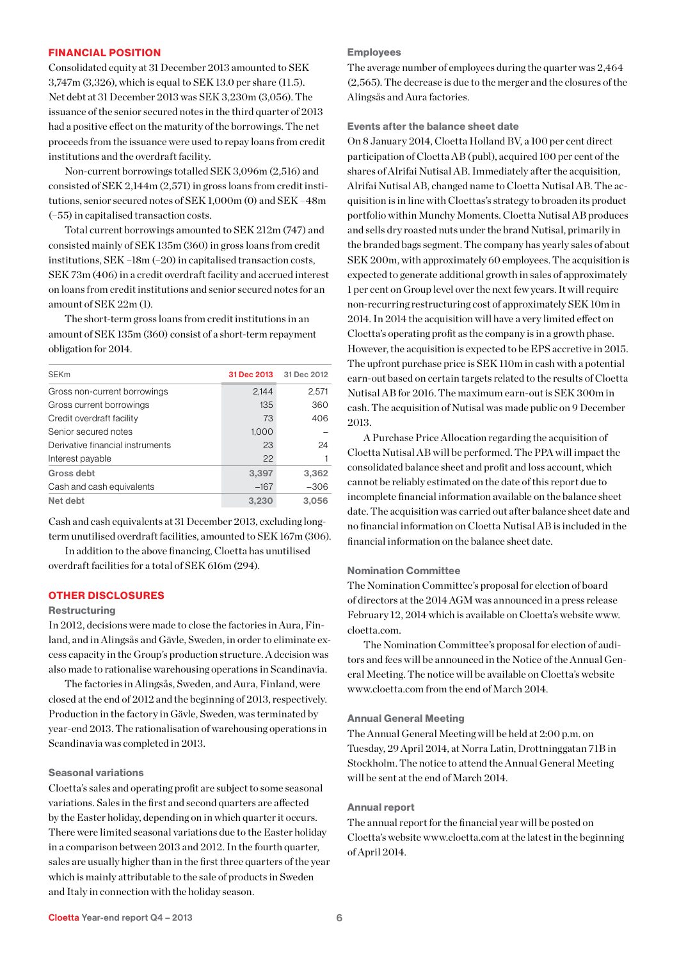#### FINANCIAL POSITION

Consolidated equity at 31 December 2013 amounted to SEK 3,747m (3,326), which is equal to SEK 13.0 per share (11.5). Net debt at 31 December 2013 was SEK 3,230m (3,056). The issuance of the senior secured notes in the third quarter of 2013 had a positive effect on the maturity of the borrowings. The net proceeds from the issuance were used to repay loans from credit institutions and the overdraft facility.

Non-current borrowings totalled SEK 3,096m (2,516) and consisted of SEK 2,144m (2,571) in gross loans from credit institutions, senior secured notes of SEK 1,000m (0) and SEK –48m (–55) in capitalised transaction costs.

Total current borrowings amounted to SEK 212m (747) and consisted mainly of SEK 135m (360) in gross loans from credit institutions,  ${\rm SEK}$  –18m (–20) in capitalised transaction costs, SEK 73m (406) in a credit overdraft facility and accrued interest on loans from credit institutions and senior secured notes for an amount of SEK 22m (1).

The short-term gross loans from credit institutions in an amount of SEK 135m (360) consist of a short-term repayment obligation for 2014.

| <b>SEKm</b>                      |        | 31 Dec 2013 31 Dec 2012 |
|----------------------------------|--------|-------------------------|
| Gross non-current borrowings     | 2,144  | 2,571                   |
| Gross current borrowings         | 135    | 360                     |
| Credit overdraft facility        | 73     | 406                     |
| Senior secured notes             | 1,000  |                         |
| Derivative financial instruments | 23     | 24                      |
| Interest payable                 | 22     |                         |
| Gross debt                       | 3,397  | 3,362                   |
| Cash and cash equivalents        | $-167$ | $-306$                  |
| Net debt                         | 3,230  | 3,056                   |

Cash and cash equivalents at 31 December 2013, excluding longterm unutilised overdraft facilities, amounted to SEK 167m (306).

In addition to the above financing, Cloetta has unutilised overdraft facilities for a total of SEK 616m (294).

#### OTHER DISCLOSURES

#### **Restructuring**

In 2012, decisions were made to close the factories in Aura, Finland, and in Alingsås and Gävle, Sweden, in order to eliminate excess capacity in the Group's production structure. A decision was also made to rationalise warehousing operations in Scandinavia.

The factories in Alingsås, Sweden, and Aura, Finland, were closed at the end of 2012 and the beginning of 2013, respectively. Production in the factory in Gävle, Sweden, was terminated by year-end 2013. The rationalisation of warehousing operations in Scandinavia was completed in 2013.

#### Seasonal variations

Cloetta's sales and operating profit are subject to some seasonal variations. Sales in the first and second quarters are affected by the Easter holiday, depending on in which quarter it occurs. There were limited seasonal variations due to the Easter holiday in a comparison between 2013 and 2012. In the fourth quarter, sales are usually higher than in the first three quarters of the year which is mainly attributable to the sale of products in Sweden and Italy in connection with the holiday season.

#### Employees

The average number of employees during the quarter was 2,464 (2,565). The decrease is due to the merger and the closures of the Alingsås and Aura factories.

Events after the balance sheet date

On 8 January 2014, Cloetta Holland BV, a 100 per cent direct participation of Cloetta AB (publ), acquired 100 per cent of the shares of Alrifai Nutisal AB. Immediately after the acquisition, Alrifai Nutisal AB, changed name to Cloetta Nutisal AB. The acquisition is in line with Cloettas's strategy to broaden its product portfolio within Munchy Moments. Cloetta Nutisal AB produces and sells dry roasted nuts under the brand Nutisal, primarily in the branded bags segment. The company has yearly sales of about SEK 200m, with approximately 60 employees. The acquisition is expected to generate additional growth in sales of approximately 1 per cent on Group level over the next few years. It will require non-recurring restructuring cost of approximately SEK 10m in 2014. In 2014 the acquisition will have a very limited effect on Cloetta's operating profit as the company is in a growth phase. However, the acquisition is expected to be EPS accretive in 2015. The upfront purchase price is SEK 110m in cash with a potential earn-out based on certain targets related to the results of Cloetta Nutisal AB for 2016. The maximum earn-out is SEK 300m in cash. The acquisition of Nutisal was made public on 9 December 2013.

A Purchase Price Allocation regarding the acquisition of Cloetta Nutisal AB will be performed. The PPA will impact the consolidated balance sheet and profit and loss account, which cannot be reliably estimated on the date of this report due to incomplete financial information available on the balance sheet date. The acquisition was carried out after balance sheet date and no financial information on Cloetta Nutisal AB is included in the financial information on the balance sheet date.

#### Nomination Committee

The Nomination Committee's proposal for election of board of directors at the 2014 AGM was announced in a press release February 12, 2014 which is available on Cloetta's website www. cloetta.com.

The Nomination Committee's proposal for election of auditors and fees will be announced in the Notice of the Annual General Meeting. The notice will be available on Cloetta's website www.cloetta.com from the end of March 2014.

#### Annual General Meeting

The Annual General Meeting will be held at 2:00 p.m. on Tuesday, 29 April 2014, at Norra Latin, Drottninggatan 71B in Stockholm. The notice to attend the Annual General Meeting will be sent at the end of March 2014.

#### Annual report

The annual report for the financial year will be posted on Cloetta's website www.cloetta.com at the latest in the beginning of April 2014.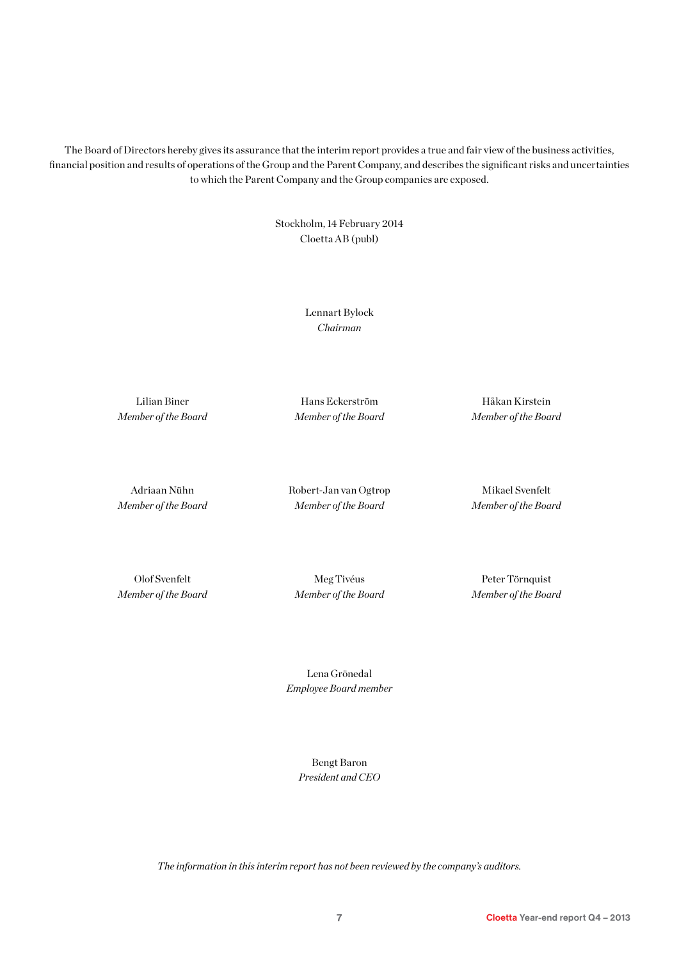The Board of Directors hereby gives its assurance that the interim report provides a true and fair view of the business activities, financial position and results of operations of the Group and the Parent Company, and describes the significant risks and uncertainties to which the Parent Company and the Group companies are exposed.

> Stockholm, 14 February 2014 Cloetta AB (publ)

> > Lennart Bylock *Chairman*

Lilian Biner *Member of the Board*

Hans Eckerström *Member of the Board*

Håkan Kirstein *Member of the Board*

Adriaan Nühn *Member of the Board* Robert-Jan van Ogtrop *Member of the Board*

Mikael Svenfelt *Member of the Board*

Olof Svenfelt *Member of the Board*

Meg Tivéus *Member of the Board*

Peter Törnquist *Member of the Board*

Lena Grönedal *Employee Board member*

> Bengt Baron *President and CEO*

*The information in this interim report has not been reviewed by the company's auditors.*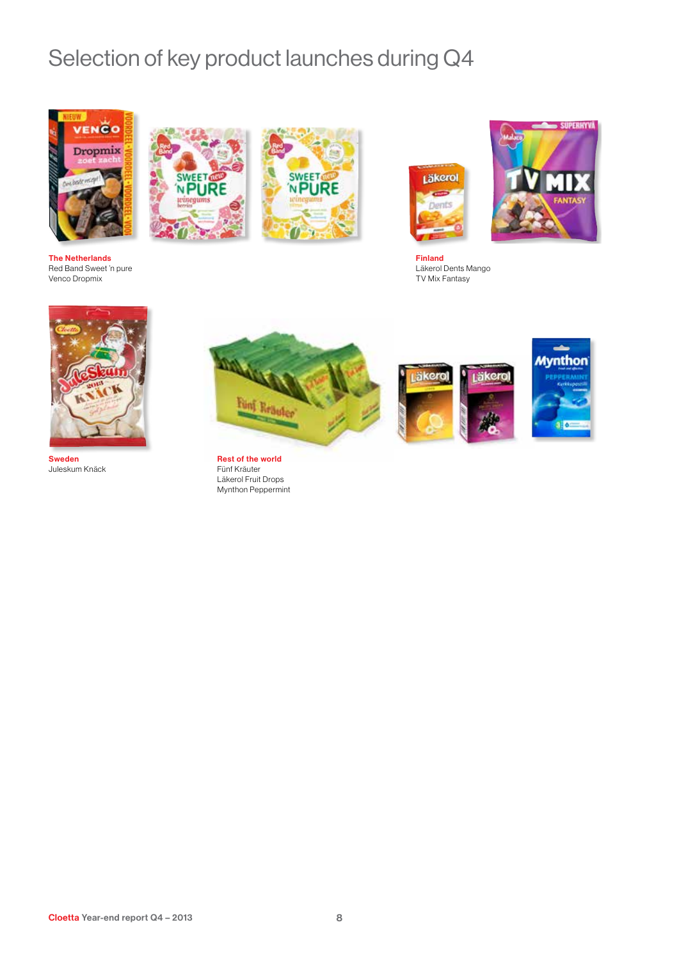# Selection of key product launches during Q4



The Netherlands Red Band Sweet 'n pure Venco Dropmix









Finland Läkerol Dents Mango TV Mix Fantasy







Sweden Juleskum Knäck



Fünf Kräuter Läkerol Fruit Drops Mynthon Peppermint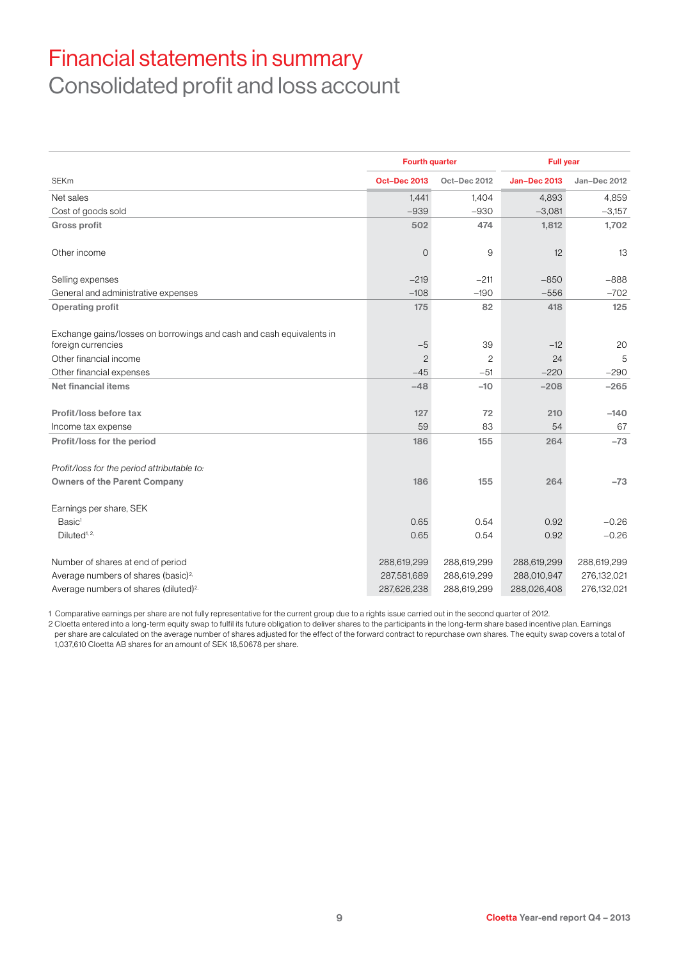# Financial statements in summary Consolidated profit and loss account

|                                                                                            | <b>Fourth quarter</b> |                | <b>Full year</b>    |              |  |
|--------------------------------------------------------------------------------------------|-----------------------|----------------|---------------------|--------------|--|
| <b>SEKm</b>                                                                                | <b>Oct-Dec 2013</b>   | Oct-Dec 2012   | <b>Jan-Dec 2013</b> | Jan-Dec 2012 |  |
| Net sales                                                                                  | 1.441                 | 1.404          | 4.893               | 4,859        |  |
| Cost of goods sold                                                                         | $-939$                | $-930$         | $-3,081$            | $-3,157$     |  |
| <b>Gross profit</b>                                                                        | 502                   | 474            | 1,812               | 1,702        |  |
| Other income                                                                               | $\overline{O}$        | 9              | 12                  | 13           |  |
| Selling expenses                                                                           | $-219$                | $-211$         | $-850$              | $-888$       |  |
| General and administrative expenses                                                        | $-108$                | $-190$         | $-556$              | $-702$       |  |
| <b>Operating profit</b>                                                                    | 175                   | 82             | 418                 | 125          |  |
| Exchange gains/losses on borrowings and cash and cash equivalents in<br>foreign currencies | $-5$                  | 39             | $-12$               | 20           |  |
| Other financial income                                                                     | $\overline{c}$        | $\overline{c}$ | 24                  | 5            |  |
| Other financial expenses                                                                   | $-45$                 | $-51$          | $-220$              | $-290$       |  |
| <b>Net financial items</b>                                                                 | $-48$                 | $-10$          | $-208$              | $-265$       |  |
| Profit/loss before tax                                                                     | 127                   | 72             | 210                 | $-140$       |  |
| Income tax expense                                                                         | 59                    | 83             | 54                  | 67           |  |
| Profit/loss for the period                                                                 | 186                   | 155            | 264                 | $-73$        |  |
| Profit/loss for the period attributable to:                                                |                       |                |                     |              |  |
| <b>Owners of the Parent Company</b>                                                        | 186                   | 155            | 264                 | $-73$        |  |
| Earnings per share, SEK                                                                    |                       |                |                     |              |  |
| Basic <sup>1</sup>                                                                         | 0.65                  | 0.54           | 0.92                | $-0.26$      |  |
| Diluted <sup>1, 2,</sup>                                                                   | 0.65                  | 0.54           | 0.92                | $-0.26$      |  |
| Number of shares at end of period                                                          | 288,619,299           | 288,619,299    | 288,619,299         | 288,619,299  |  |
| Average numbers of shares (basic) <sup>2,</sup>                                            | 287,581,689           | 288,619,299    | 288,010,947         | 276,132,021  |  |
| Average numbers of shares (diluted) <sup>2,</sup>                                          | 287,626,238           | 288,619,299    | 288,026,408         | 276,132,021  |  |

1 Comparative earnings per share are not fully representative for the current group due to a rights issue carried out in the second quarter of 2012.

2 Cloetta entered into a long-term equity swap to fulfil its future obligation to deliver shares to the participants in the long-term share based incentive plan. Earnings per share are calculated on the average number of shares adjusted for the effect of the forward contract to repurchase own shares. The equity swap covers a total of 1,037,610 Cloetta AB shares for an amount of SEK 18,50678 per share.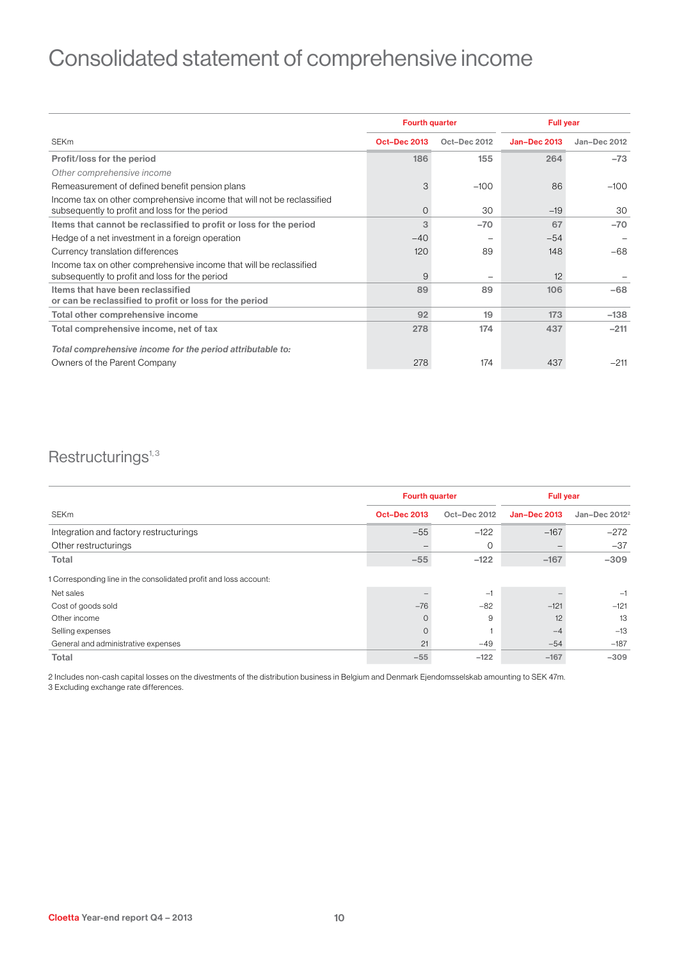# Consolidated statement of comprehensive income

|                                                                                                                          | <b>Fourth quarter</b> |              | <b>Full year</b>    |              |  |
|--------------------------------------------------------------------------------------------------------------------------|-----------------------|--------------|---------------------|--------------|--|
| <b>SEKm</b>                                                                                                              | <b>Oct-Dec 2013</b>   | Oct-Dec 2012 | <b>Jan-Dec 2013</b> | Jan-Dec 2012 |  |
| Profit/loss for the period                                                                                               | 186                   | 155          | 264                 | $-73$        |  |
| Other comprehensive income                                                                                               |                       |              |                     |              |  |
| Remeasurement of defined benefit pension plans                                                                           | 3                     | $-100$       | 86                  | $-100$       |  |
| Income tax on other comprehensive income that will not be reclassified<br>subsequently to profit and loss for the period | $\overline{O}$        | 30           | $-19$               | 30           |  |
| Items that cannot be reclassified to profit or loss for the period                                                       | 3                     | $-70$        | 67                  | $-70$        |  |
| Hedge of a net investment in a foreign operation                                                                         | $-40$                 |              | $-54$               |              |  |
| Currency translation differences                                                                                         | 120                   | 89           | 148                 | $-68$        |  |
| Income tax on other comprehensive income that will be reclassified<br>subsequently to profit and loss for the period     | 9                     |              | 12                  |              |  |
| Items that have been reclassified<br>or can be reclassified to profit or loss for the period                             | 89                    | 89           | 106                 | $-68$        |  |
| Total other comprehensive income                                                                                         | 92                    | 19           | 173                 | $-138$       |  |
| Total comprehensive income, net of tax                                                                                   | 278                   | 174          | 437                 | $-211$       |  |
| Total comprehensive income for the period attributable to:                                                               |                       |              |                     |              |  |
| Owners of the Parent Company                                                                                             | 278                   | 174          | 437                 | $-211$       |  |

### $Restructurings<sup>1,3</sup>$

|                                                                   | <b>Fourth quarter</b> |              | <b>Full year</b>    |              |  |
|-------------------------------------------------------------------|-----------------------|--------------|---------------------|--------------|--|
| <b>SEKm</b>                                                       | <b>Oct-Dec 2013</b>   | Oct-Dec 2012 | <b>Jan-Dec 2013</b> | Jan-Dec 2012 |  |
| Integration and factory restructurings                            | $-55$                 | $-122$       | $-167$              | $-272$       |  |
| Other restructurings                                              |                       | 0            |                     | $-37$        |  |
| Total                                                             | $-55$                 | $-122$       | $-167$              | $-309$       |  |
| 1 Corresponding line in the consolidated profit and loss account: |                       |              |                     |              |  |
| Net sales                                                         |                       | $-1$         |                     | $-1$         |  |
| Cost of goods sold                                                | $-76$                 | $-82$        | $-121$              | $-121$       |  |
| Other income                                                      | $\circ$               | 9            | 12                  | 13           |  |
| Selling expenses                                                  | $\mathbf 0$           |              | $-4$                | $-13$        |  |
| General and administrative expenses                               | 21                    | $-49$        | $-54$               | $-187$       |  |
| Total                                                             | $-55$                 | $-122$       | $-167$              | $-309$       |  |

2 Includes non-cash capital losses on the divestments of the distribution business in Belgium and Denmark Ejendomsselskab amounting to SEK 47m. 3 Excluding exchange rate differences.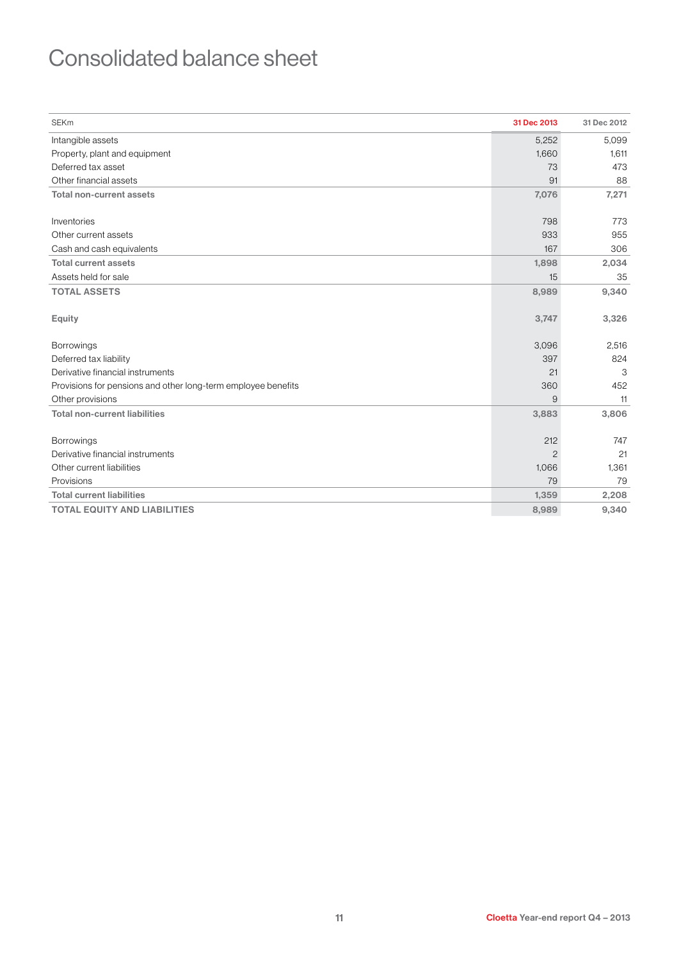# Consolidated balance sheet

| <b>SEKm</b>                                                   | 31 Dec 2013    | 31 Dec 2012 |
|---------------------------------------------------------------|----------------|-------------|
| Intangible assets                                             | 5,252          | 5.099       |
| Property, plant and equipment                                 | 1,660          | 1,611       |
| Deferred tax asset                                            | 73             | 473         |
| Other financial assets                                        | 91             | 88          |
| <b>Total non-current assets</b>                               | 7,076          | 7,271       |
|                                                               |                |             |
| Inventories                                                   | 798            | 773         |
| Other current assets                                          | 933            | 955         |
| Cash and cash equivalents                                     | 167            | 306         |
| <b>Total current assets</b>                                   | 1,898          | 2,034       |
| Assets held for sale                                          | 15             | 35          |
| <b>TOTAL ASSETS</b>                                           | 8,989          | 9,340       |
|                                                               |                |             |
| Equity                                                        | 3,747          | 3,326       |
|                                                               |                |             |
| <b>Borrowings</b>                                             | 3,096          | 2,516       |
| Deferred tax liability                                        | 397            | 824         |
| Derivative financial instruments                              | 21             | 3           |
| Provisions for pensions and other long-term employee benefits | 360            | 452         |
| Other provisions                                              | 9              | 11          |
| <b>Total non-current liabilities</b>                          | 3,883          | 3,806       |
|                                                               |                |             |
| <b>Borrowings</b>                                             | 212            | 747         |
| Derivative financial instruments                              | $\overline{c}$ | 21          |
| Other current liabilities                                     | 1,066          | 1,361       |
| Provisions                                                    | 79             | 79          |
| <b>Total current liabilities</b>                              | 1,359          | 2,208       |
| <b>TOTAL EQUITY AND LIABILITIES</b>                           | 8,989          | 9,340       |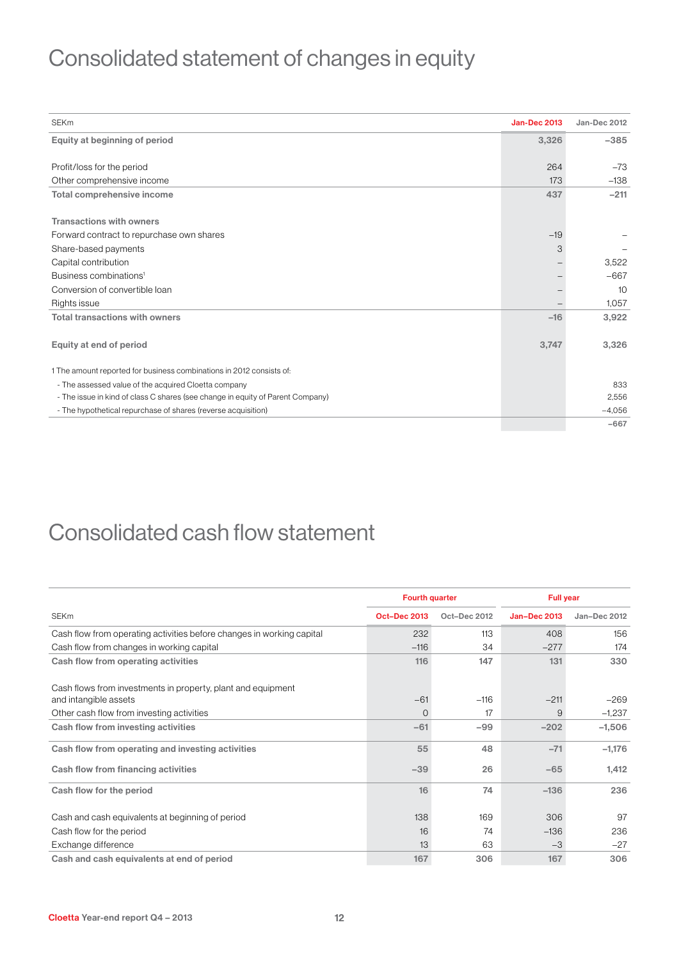# Consolidated statement of changes in equity

| <b>SEKm</b>                                                                    | <b>Jan-Dec 2013</b> | Jan-Dec 2012 |
|--------------------------------------------------------------------------------|---------------------|--------------|
| Equity at beginning of period                                                  | 3,326               | $-385$       |
|                                                                                |                     |              |
| Profit/loss for the period                                                     | 264                 | $-73$        |
| Other comprehensive income                                                     | 173                 | $-138$       |
| Total comprehensive income                                                     | 437                 | $-211$       |
|                                                                                |                     |              |
| <b>Transactions with owners</b>                                                |                     |              |
| Forward contract to repurchase own shares                                      | $-19$               |              |
| Share-based payments                                                           | 3                   |              |
| Capital contribution                                                           |                     | 3,522        |
| Business combinations <sup>1</sup>                                             |                     | $-667$       |
| Conversion of convertible loan                                                 |                     | 10           |
| Rights issue                                                                   |                     | 1,057        |
| <b>Total transactions with owners</b>                                          | $-16$               | 3,922        |
|                                                                                |                     |              |
| Equity at end of period                                                        | 3,747               | 3,326        |
|                                                                                |                     |              |
| 1 The amount reported for business combinations in 2012 consists of:           |                     |              |
| - The assessed value of the acquired Cloetta company                           |                     | 833          |
| - The issue in kind of class C shares (see change in equity of Parent Company) |                     | 2,556        |
| - The hypothetical repurchase of shares (reverse acquisition)                  |                     | $-4.056$     |
|                                                                                |                     | $-667$       |

### Consolidated cash flow statement

|                                                                       | <b>Fourth quarter</b> |              | <b>Full year</b>    |              |
|-----------------------------------------------------------------------|-----------------------|--------------|---------------------|--------------|
| <b>SEKm</b>                                                           | <b>Oct-Dec 2013</b>   | Oct-Dec 2012 | <b>Jan-Dec 2013</b> | Jan-Dec 2012 |
| Cash flow from operating activities before changes in working capital | 232                   | 113          | 408                 | 156          |
| Cash flow from changes in working capital                             | $-116$                | 34           | $-277$              | 174          |
| Cash flow from operating activities                                   | 116                   | 147          | 131                 | 330          |
| Cash flows from investments in property, plant and equipment          |                       |              |                     |              |
| and intangible assets                                                 | $-61$                 | $-116$       | $-211$              | $-269$       |
| Other cash flow from investing activities                             | $\circ$               | 17           | 9                   | $-1,237$     |
| Cash flow from investing activities                                   | $-61$                 | $-99$        | $-202$              | $-1,506$     |
| Cash flow from operating and investing activities                     | 55                    | 48           | $-71$               | $-1,176$     |
| Cash flow from financing activities                                   | $-39$                 | 26           | $-65$               | 1,412        |
| Cash flow for the period                                              | 16                    | 74           | $-136$              | 236          |
| Cash and cash equivalents at beginning of period                      | 138                   | 169          | 306                 | 97           |
| Cash flow for the period                                              | 16                    | 74           | $-136$              | 236          |
| Exchange difference                                                   | 13                    | 63           | $-3$                | $-27$        |
| Cash and cash equivalents at end of period                            | 167                   | 306          | 167                 | 306          |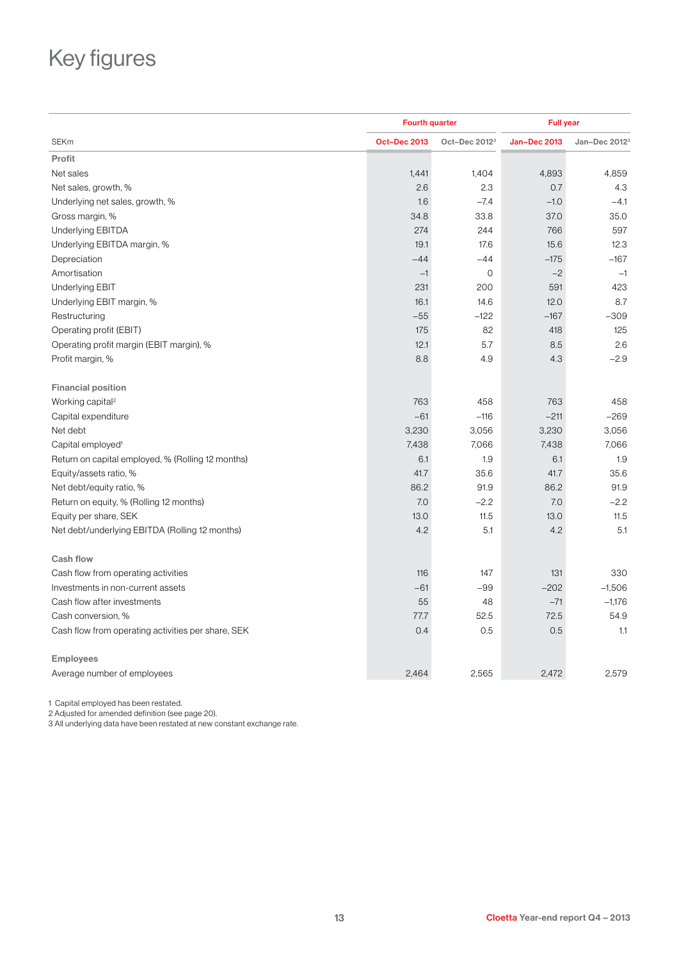# Key figures

|                                                    | <b>Fourth quarter</b> |                           | <b>Full year</b>    |                           |  |
|----------------------------------------------------|-----------------------|---------------------------|---------------------|---------------------------|--|
| <b>SEKm</b>                                        | <b>Oct-Dec 2013</b>   | Oct-Dec 2012 <sup>3</sup> | <b>Jan-Dec 2013</b> | Jan-Dec 2012 <sup>3</sup> |  |
| Profit                                             |                       |                           |                     |                           |  |
| Net sales                                          | 1,441                 | 1,404                     | 4,893               | 4,859                     |  |
| Net sales, growth, %                               | 2.6                   | 2.3                       | 0.7                 | 4.3                       |  |
| Underlying net sales, growth, %                    | 1.6                   | $-7.4$                    | $-1.0$              | $-4.1$                    |  |
| Gross margin, %                                    | 34.8                  | 33.8                      | 37.0                | 35.0                      |  |
| Underlying EBITDA                                  | 274                   | 244                       | 766                 | 597                       |  |
| Underlying EBITDA margin, %                        | 19.1                  | 17.6                      | 15.6                | 12.3                      |  |
| Depreciation                                       | $-44$                 | $-44$                     | $-175$              | $-167$                    |  |
| Amortisation                                       | $-1$                  | $\overline{0}$            | $-2$                | $-1$                      |  |
| <b>Underlying EBIT</b>                             | 231                   | 200                       | 591                 | 423                       |  |
| Underlying EBIT margin, %                          | 16.1                  | 14.6                      | 12.0                | 8.7                       |  |
| Restructuring                                      | $-55$                 | $-122$                    | $-167$              | $-309$                    |  |
| Operating profit (EBIT)                            | 175                   | 82                        | 418                 | 125                       |  |
| Operating profit margin (EBIT margin), %           | 12.1                  | 5.7                       | 8.5                 | 2.6                       |  |
| Profit margin, %                                   | 8.8                   | 4.9                       | 4.3                 | $-2.9$                    |  |
| <b>Financial position</b>                          |                       |                           |                     |                           |  |
| Working capital <sup>2</sup>                       | 763                   | 458                       | 763                 | 458                       |  |
| Capital expenditure                                | $-61$                 | $-116$                    | $-211$              | $-269$                    |  |
| Net debt                                           | 3,230                 | 3,056                     | 3,230               | 3,056                     |  |
| Capital employed <sup>1</sup>                      | 7,438                 | 7,066                     | 7,438               | 7,066                     |  |
| Return on capital employed, % (Rolling 12 months)  | 6.1                   | 1.9                       | 6.1                 | 1.9                       |  |
| Equity/assets ratio, %                             | 41.7                  | 35.6                      | 41.7                | 35.6                      |  |
| Net debt/equity ratio, %                           | 86.2                  | 91.9                      | 86.2                | 91.9                      |  |
| Return on equity, % (Rolling 12 months)            | 7.0                   | $-2.2$                    | 7.0                 | $-2.2$                    |  |
| Equity per share, SEK                              | 13.0                  | 11.5                      | 13.0                | 11.5                      |  |
| Net debt/underlying EBITDA (Rolling 12 months)     | 4.2                   | 5.1                       | 4.2                 | 5.1                       |  |
| <b>Cash flow</b>                                   |                       |                           |                     |                           |  |
| Cash flow from operating activities                | 116                   | 147                       | 131                 | 330                       |  |
| Investments in non-current assets                  | $-61$                 | $-99$                     | $-202$              | $-1,506$                  |  |
| Cash flow after investments                        | 55                    | 48                        | $-71$               | $-1,176$                  |  |
| Cash conversion, %                                 | 77.7                  | 52.5                      | 72.5                | 54.9                      |  |
| Cash flow from operating activities per share, SEK | 0.4                   | 0.5                       | 0.5                 | 1.1                       |  |
| <b>Employees</b>                                   |                       |                           |                     |                           |  |
| Average number of employees                        | 2.464                 | 2,565                     | 2,472               | 2,579                     |  |

1 Capital employed has been restated.

2 Adjusted for amended definition (see page 20).

3 All underlying data have been restated at new constant exchange rate.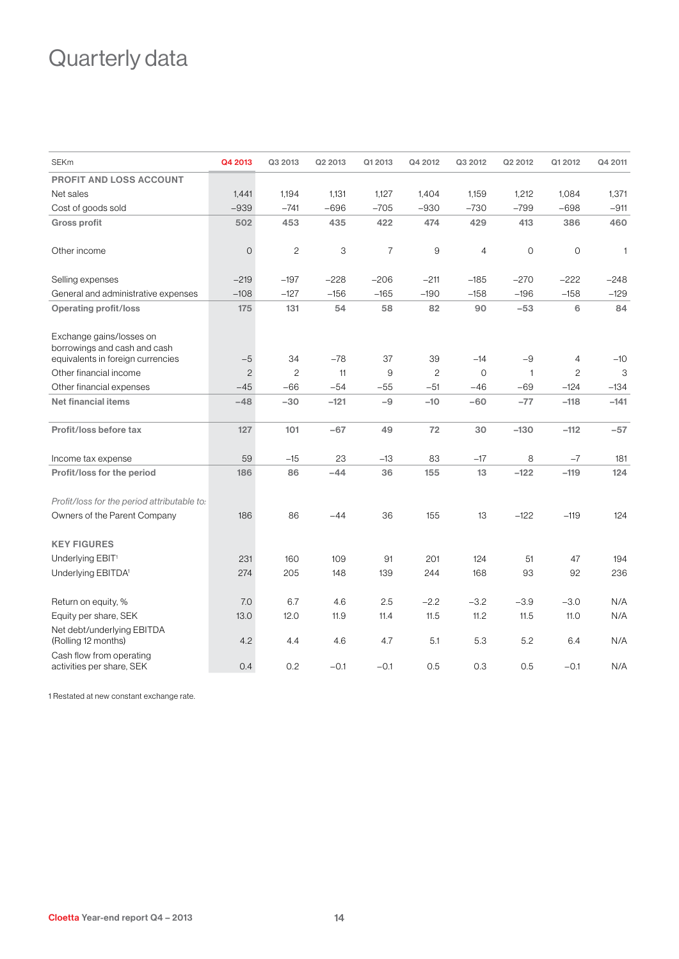# Quarterly data

| <b>SEKm</b>                                              | Q4 2013        | Q3 2013        | Q2 2013 | Q1 2013        | Q4 2012      | Q3 2012        | Q2 2012      | Q1 2012        | Q4 2011      |
|----------------------------------------------------------|----------------|----------------|---------|----------------|--------------|----------------|--------------|----------------|--------------|
| <b>PROFIT AND LOSS ACCOUNT</b>                           |                |                |         |                |              |                |              |                |              |
| Net sales                                                | 1,441          | 1,194          | 1,131   | 1,127          | 1,404        | 1,159          | 1,212        | 1,084          | 1,371        |
| Cost of goods sold                                       | $-939$         | $-741$         | $-696$  | $-705$         | $-930$       | $-730$         | $-799$       | $-698$         | $-911$       |
| <b>Gross profit</b>                                      | 502            | 453            | 435     | 422            | 474          | 429            | 413          | 386            | 460          |
| Other income                                             | $\mathbf 0$    | $\mathbf{2}$   | 3       | $\overline{7}$ | 9            | $\overline{4}$ | $\circ$      | $\mathbf 0$    | $\mathbf{1}$ |
| Selling expenses                                         | $-219$         | $-197$         | $-228$  | $-206$         | $-211$       | $-185$         | $-270$       | $-222$         | $-248$       |
| General and administrative expenses                      | $-108$         | $-127$         | $-156$  | $-165$         | $-190$       | $-158$         | $-196$       | $-158$         | $-129$       |
| <b>Operating profit/loss</b>                             | 175            | 131            | 54      | 58             | 82           | 90             | $-53$        | 6              | 84           |
| Exchange gains/losses on<br>borrowings and cash and cash |                | 34             | $-78$   | 37             | 39           |                | $-9$         |                |              |
| equivalents in foreign currencies                        | $-5$           |                |         |                |              | $-14$          |              | 4              | $-10$        |
| Other financial income                                   | $\overline{c}$ | $\overline{c}$ | 11      | 9              | $\mathbf{2}$ | $\overline{O}$ | $\mathbf{1}$ | $\overline{c}$ | 3            |
| Other financial expenses                                 | $-45$          | $-66$          | $-54$   | -55            | $-51$        | $-46$          | -69          | $-124$         | -134         |
| <b>Net financial items</b>                               | $-48$          | $-30$          | $-121$  | $-9$           | $-10$        | $-60$          | $-77$        | $-118$         | $-141$       |
| Profit/loss before tax                                   | 127            | 101            | $-67$   | 49             | 72           | 30             | $-130$       | $-112$         | $-57$        |
| Income tax expense                                       | 59             | $-15$          | 23      | $-13$          | 83           | $-17$          | 8            | $-7$           | 181          |
| Profit/loss for the period                               | 186            | 86             | $-44$   | 36             | 155          | 13             | $-122$       | $-119$         | 124          |
| Profit/loss for the period attributable to:              |                |                |         |                |              |                |              |                |              |
| Owners of the Parent Company                             | 186            | 86             | $-44$   | 36             | 155          | 13             | $-122$       | $-119$         | 124          |
| <b>KEY FIGURES</b>                                       |                |                |         |                |              |                |              |                |              |
| Underlying EBIT <sup>1</sup>                             | 231            | 160            | 109     | 91             | 201          | 124            | 51           | 47             | 194          |
| Underlying EBITDA <sup>1</sup>                           | 274            | 205            | 148     | 139            | 244          | 168            | 93           | 92             | 236          |
| Return on equity, %                                      | 7.0            | 6.7            | 4.6     | 2.5            | $-2.2$       | $-3.2$         | $-3.9$       | $-3.0$         | N/A          |
| Equity per share, SEK                                    | 13.0           | 12.0           | 11.9    | 11.4           | 11.5         | 11.2           | 11.5         | 11.0           | N/A          |
| Net debt/underlying EBITDA<br>(Rolling 12 months)        | 4.2            | 4.4            | 4.6     | 4.7            | 5.1          | 5.3            | 5.2          | 6.4            | N/A          |
| Cash flow from operating<br>activities per share, SEK    | 0.4            | 0.2            | $-0.1$  | $-0.1$         | 0.5          | 0.3            | 0.5          | $-0.1$         | N/A          |

1 Restated at new constant exchange rate.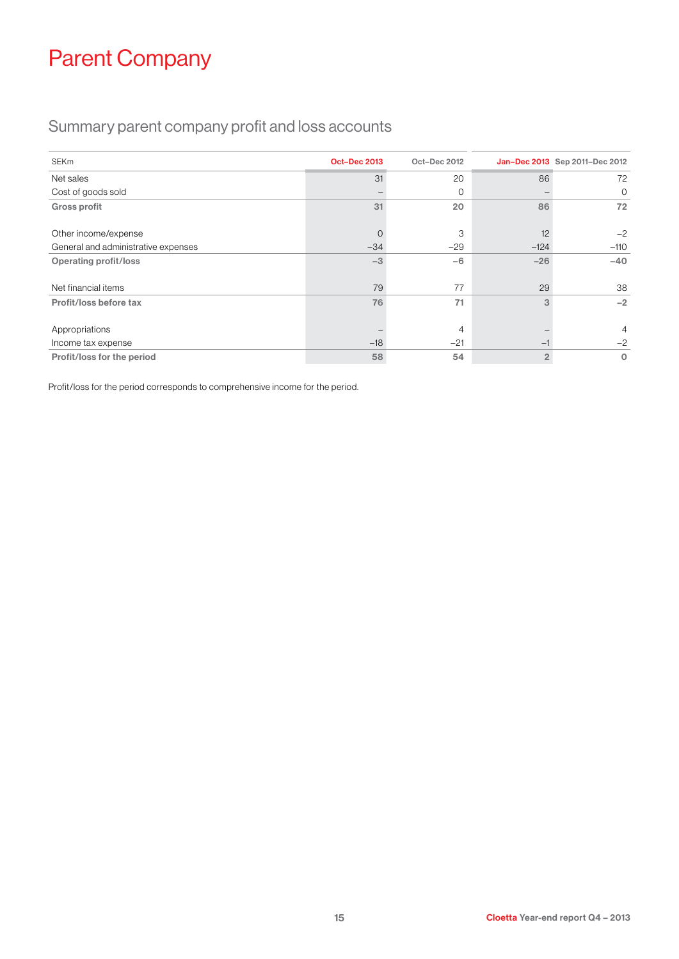# Parent Company

### Summary parent company profit and loss accounts

| <b>SEKm</b>                         | <b>Oct-Dec 2013</b> | Oct-Dec 2012 |                | Jan-Dec 2013 Sep 2011-Dec 2012 |
|-------------------------------------|---------------------|--------------|----------------|--------------------------------|
| Net sales                           | 31                  | 20           | 86             | 72                             |
| Cost of goods sold                  |                     | $\Omega$     |                | 0                              |
| <b>Gross profit</b>                 | 31                  | 20           | 86             | 72                             |
| Other income/expense                | 0                   | 3            | 12             | $-2$                           |
| General and administrative expenses | $-34$               | $-29$        | $-124$         | $-110$                         |
| <b>Operating profit/loss</b>        | $-3$                | $-6$         | $-26$          | $-40$                          |
| Net financial items                 | 79                  | 77           | 29             | 38                             |
| Profit/loss before tax              | 76                  | 71           | 3              | $-2$                           |
| Appropriations                      |                     | 4            |                | $\overline{4}$                 |
| Income tax expense                  | $-18$               | $-21$        | $-1$           | $-2$                           |
| Profit/loss for the period          | 58                  | 54           | $\overline{2}$ | $\mathbf 0$                    |

Profit/loss for the period corresponds to comprehensive income for the period.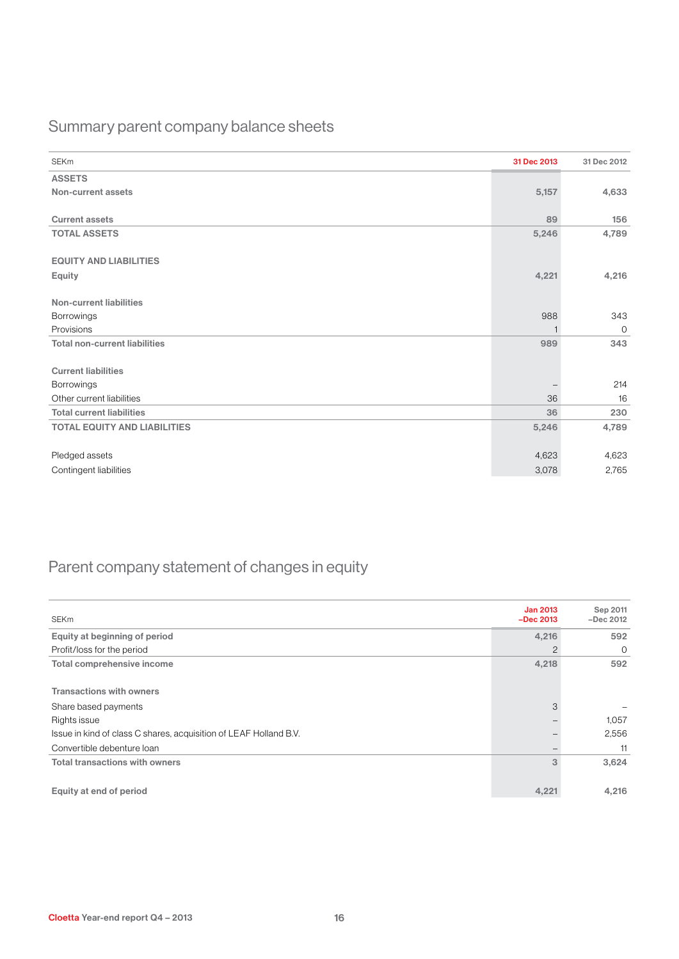### Summary parent company balance sheets

| <b>SEKm</b>                          | 31 Dec 2013 | 31 Dec 2012    |
|--------------------------------------|-------------|----------------|
| <b>ASSETS</b>                        |             |                |
| Non-current assets                   | 5,157       | 4,633          |
|                                      |             |                |
| <b>Current assets</b>                | 89          | 156            |
| <b>TOTAL ASSETS</b>                  | 5,246       | 4,789          |
|                                      |             |                |
| <b>EQUITY AND LIABILITIES</b>        |             |                |
| <b>Equity</b>                        | 4,221       | 4,216          |
|                                      |             |                |
| <b>Non-current liabilities</b>       |             |                |
| Borrowings                           | 988         | 343            |
| Provisions                           |             | $\overline{0}$ |
| <b>Total non-current liabilities</b> | 989         | 343            |
|                                      |             |                |
| <b>Current liabilities</b>           |             |                |
| Borrowings                           |             | 214            |
| Other current liabilities            | 36          | 16             |
| <b>Total current liabilities</b>     | 36          | 230            |
| <b>TOTAL EQUITY AND LIABILITIES</b>  | 5,246       | 4,789          |
|                                      |             |                |
| Pledged assets                       | 4,623       | 4,623          |
| Contingent liabilities               | 3,078       | 2,765          |

### Parent company statement of changes in equity

| <b>SEKm</b>                                                       | <b>Jan 2013</b><br>$-$ Dec 2013 | Sep 2011<br>$-$ Dec 2012 |
|-------------------------------------------------------------------|---------------------------------|--------------------------|
| Equity at beginning of period                                     | 4,216                           | 592                      |
| Profit/loss for the period                                        | 2                               | $\circ$                  |
| Total comprehensive income                                        | 4,218                           | 592                      |
|                                                                   |                                 |                          |
| <b>Transactions with owners</b>                                   |                                 |                          |
| Share based payments                                              | 3                               |                          |
| Rights issue                                                      |                                 | 1,057                    |
| Issue in kind of class C shares, acquisition of LEAF Holland B.V. |                                 | 2,556                    |
| Convertible debenture loan                                        |                                 | 11                       |
| <b>Total transactions with owners</b>                             | 3                               | 3,624                    |
|                                                                   |                                 |                          |
| Equity at end of period                                           | 4,221                           | 4,216                    |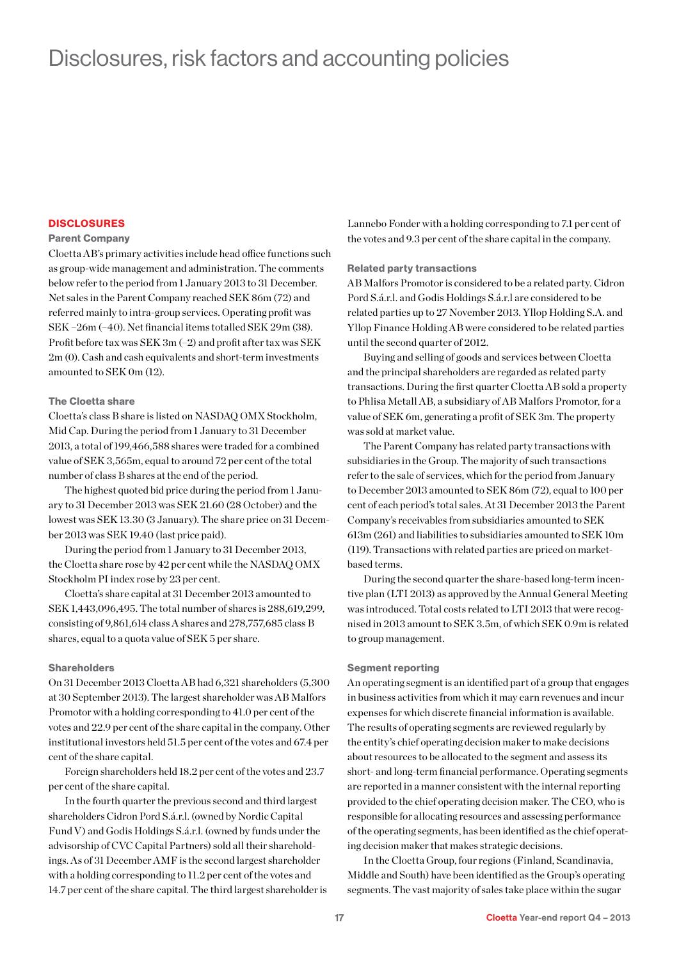### Disclosures, risk factors and accounting policies

#### **DISCLOSURES**

#### Parent Company

Cloetta AB's primary activities include head office functions such as group-wide management and administration. The comments below refer to the period from 1 January 2013 to 31 December. Net sales in the Parent Company reached SEK 86m (72) and referred mainly to intra-group services. Operating profit was SEK –26m (–40). Net financial items totalled SEK 29m (38). Profit before tax was SEK 3m (–2) and profit after tax was SEK 2m (0). Cash and cash equivalents and short-term investments amounted to SEK 0m (12).

#### The Cloetta share

Cloetta's class B share is listed on NASDAQ OMX Stockholm, Mid Cap. During the period from 1 January to 31 December 2013, a total of 199,466,588 shares were traded for a combined value of SEK 3,565m, equal to around 72 per cent of the total number of class B shares at the end of the period.

The highest quoted bid price during the period from 1 January to 31 December 2013 was SEK 21.60 (28 October) and the lowest was SEK 13.30 (3 January). The share price on 31 December 2013 was SEK 19.40 (last price paid).

During the period from 1 January to 31 December 2013, the Cloetta share rose by 42 per cent while the NASDAQ OMX Stockholm PI index rose by 23 per cent.

Cloetta's share capital at 31 December 2013 amounted to SEK 1,443,096,495. The total number of shares is 288,619,299, consisting of 9,861,614 class A shares and 278,757,685 class B shares, equal to a quota value of SEK 5 per share.

#### **Shareholders**

On 31 December 2013 Cloetta AB had 6,321 shareholders (5,300 at 30 September 2013). The largest shareholder was AB Malfors Promotor with a holding corresponding to 41.0 per cent of the votes and 22.9 per cent of the share capital in the company. Other institutional investors held 51.5 per cent of the votes and 67.4 per cent of the share capital.

Foreign shareholders held 18.2 per cent of the votes and 23.7 per cent of the share capital.

In the fourth quarter the previous second and third largest shareholders Cidron Pord S.á.r.l. (owned by Nordic Capital Fund V) and Godis Holdings S.á.r.l. (owned by funds under the advisorship of CVC Capital Partners) sold all their shareholdings. As of 31 December AMF is the second largest shareholder with a holding corresponding to 11.2 per cent of the votes and 14.7 per cent of the share capital. The third largest shareholder is Lannebo Fonder with a holding corresponding to 7.1 per cent of the votes and 9.3 per cent of the share capital in the company.

#### Related party transactions

AB Malfors Promotor is considered to be a related party. Cidron Pord S.á.r.l. and Godis Holdings S.á.r.l are considered to be related parties up to 27 November 2013. Yllop Holding S.A. and Yllop Finance Holding AB were considered to be related parties until the second quarter of 2012.

Buying and selling of goods and services between Cloetta and the principal shareholders are regarded as related party transactions. During the first quarter Cloetta AB sold a property to Phlisa Metall AB, a subsidiary of AB Malfors Promotor, for a value of SEK 6m, generating a profit of SEK 3m. The property was sold at market value.

The Parent Company has related party transactions with subsidiaries in the Group. The majority of such transactions refer to the sale of services, which for the period from January to December 2013 amounted to SEK 86m (72), equal to 100 per cent of each period's total sales. At 31 December 2013 the Parent Company's receivables from subsidiaries amounted to SEK 613m (261) and liabilities to subsidiaries amounted to SEK 10m (119). Transactions with related parties are priced on marketbased terms.

During the second quarter the share-based long-term incentive plan (LTI 2013) as approved by the Annual General Meeting was introduced. Total costs related to LTI 2013 that were recognised in 2013 amount to SEK 3.5m, of which SEK 0.9m is related to group management.

#### Segment reporting

An operating segment is an identified part of a group that engages in business activities from which it may earn revenues and incur expenses for which discrete financial information is available. The results of operating segments are reviewed regularly by the entity's chief operating decision maker to make decisions about resources to be allocated to the segment and assess its short- and long-term financial performance. Operating segments are reported in a manner consistent with the internal reporting provided to the chief operating decision maker. The CEO, who is responsible for allocating resources and assessing performance of the operating segments, has been identified as the chief operating decision maker that makes strategic decisions.

In the Cloetta Group, four regions (Finland, Scandinavia, Middle and South) have been identified as the Group's operating segments. The vast majority of sales take place within the sugar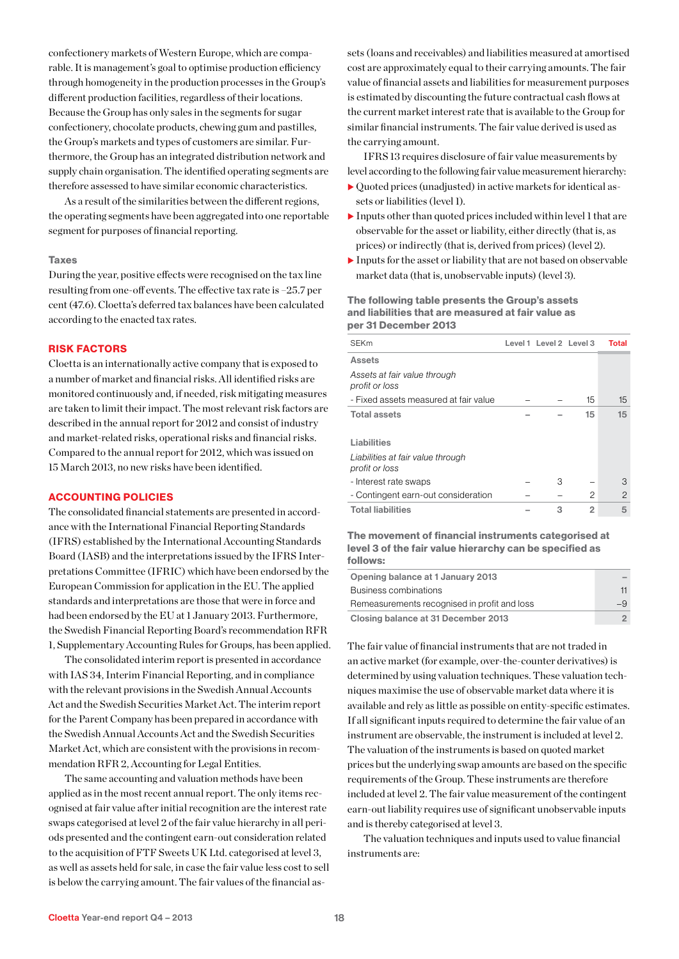confectionery markets of Western Europe, which are comparable. It is management's goal to optimise production efficiency through homogeneity in the production processes in the Group's different production facilities, regardless of their locations. Because the Group has only sales in the segments for sugar confectionery, chocolate products, chewing gum and pastilles, the Group's markets and types of customers are similar. Furthermore, the Group has an integrated distribution network and supply chain organisation. The identified operating segments are therefore assessed to have similar economic characteristics.

As a result of the similarities between the different regions, the operating segments have been aggregated into one reportable segment for purposes of financial reporting.

#### Taxes

During the year, positive effects were recognised on the tax line resulting from one-off events. The effective tax rate is –25.7 per cent (47.6). Cloetta's deferred tax balances have been calculated according to the enacted tax rates.

#### RISK FACTORS

Cloetta is an internationally active company that is exposed to a number of market and financial risks. All identified risks are monitored continuously and, if needed, risk mitigating measures are taken to limit their impact. The most relevant risk factors are described in the annual report for 2012 and consist of industry and market-related risks, operational risks and financial risks. Compared to the annual report for 2012, which was issued on 15 March 2013, no new risks have been identified.

#### ACCOUNTING POLICIES

The consolidated financial statements are presented in accordance with the International Financial Reporting Standards (IFRS) established by the International Accounting Standards Board (IASB) and the interpretations issued by the IFRS Interpretations Committee (IFRIC) which have been endorsed by the European Commission for application in the EU. The applied standards and interpretations are those that were in force and had been endorsed by the EU at 1 January 2013. Furthermore, the Swedish Financial Reporting Board's recommendation RFR 1, Supplementary Accounting Rules for Groups, has been applied.

The consolidated interim report is presented in accordance with IAS 34, Interim Financial Reporting, and in compliance with the relevant provisions in the Swedish Annual Accounts Act and the Swedish Securities Market Act. The interim report for the Parent Company has been prepared in accordance with the Swedish Annual Accounts Act and the Swedish Securities Market Act, which are consistent with the provisions in recommendation RFR 2, Accounting for Legal Entities.

The same accounting and valuation methods have been applied as in the most recent annual report. The only items recognised at fair value after initial recognition are the interest rate swaps categorised at level 2 of the fair value hierarchy in all periods presented and the contingent earn-out consideration related to the acquisition of FTF Sweets UK Ltd. categorised at level 3, as well as assets held for sale, in case the fair value less cost to sell is below the carrying amount. The fair values of the financial assets (loans and receivables) and liabilities measured at amortised cost are approximately equal to their carrying amounts. The fair value of financial assets and liabilities for measurement purposes is estimated by discounting the future contractual cash flows at the current market interest rate that is available to the Group for similar financial instruments. The fair value derived is used as the carrying amount.

IFRS 13 requires disclosure of fair value measurements by level according to the following fair value measurement hierarchy:

- $\triangleright$  Quoted prices (unadjusted) in active markets for identical assets or liabilities (level 1).
- Inputs other than quoted prices included within level 1 that are observable for the asset or liability, either directly (that is, as prices) or indirectly (that is, derived from prices) (level 2).
- $\blacktriangleright$  Inputs for the asset or liability that are not based on observable market data (that is, unobservable inputs) (level 3).

#### The following table presents the Group's assets and liabilities that are measured at fair value as per 31 December 2013

| <b>SEKm</b>                                         | Level 1 Level 2 Level 3 |                | Total         |
|-----------------------------------------------------|-------------------------|----------------|---------------|
| <b>Assets</b>                                       |                         |                |               |
| Assets at fair value through<br>profit or loss      |                         |                |               |
| - Fixed assets measured at fair value               |                         | 15             | 15            |
| <b>Total assets</b>                                 |                         | 15             | 15            |
| Liabilities                                         |                         |                |               |
| Liabilities at fair value through<br>profit or loss |                         |                |               |
| - Interest rate swaps                               | 3                       |                | 3             |
| - Contingent earn-out consideration                 |                         | 2              | $\mathcal{P}$ |
| <b>Total liabilities</b>                            | 3                       | $\overline{2}$ | 5             |

The movement of financial instruments categorised at level 3 of the fair value hierarchy can be specified as follows:

| Opening balance at 1 January 2013            |  |
|----------------------------------------------|--|
| Business combinations                        |  |
| Remeasurements recognised in profit and loss |  |
| Closing balance at 31 December 2013          |  |

The fair value of financial instruments that are not traded in an active market (for example, over-the-counter derivatives) is determined by using valuation techniques. These valuation techniques maximise the use of observable market data where it is available and rely as little as possible on entity-specific estimates. If all significant inputs required to determine the fair value of an instrument are observable, the instrument is included at level 2. The valuation of the instruments is based on quoted market prices but the underlying swap amounts are based on the specific requirements of the Group. These instruments are therefore included at level 2. The fair value measurement of the contingent earn-out liability requires use of significant unobservable inputs and is thereby categorised at level 3.

The valuation techniques and inputs used to value financial instruments are: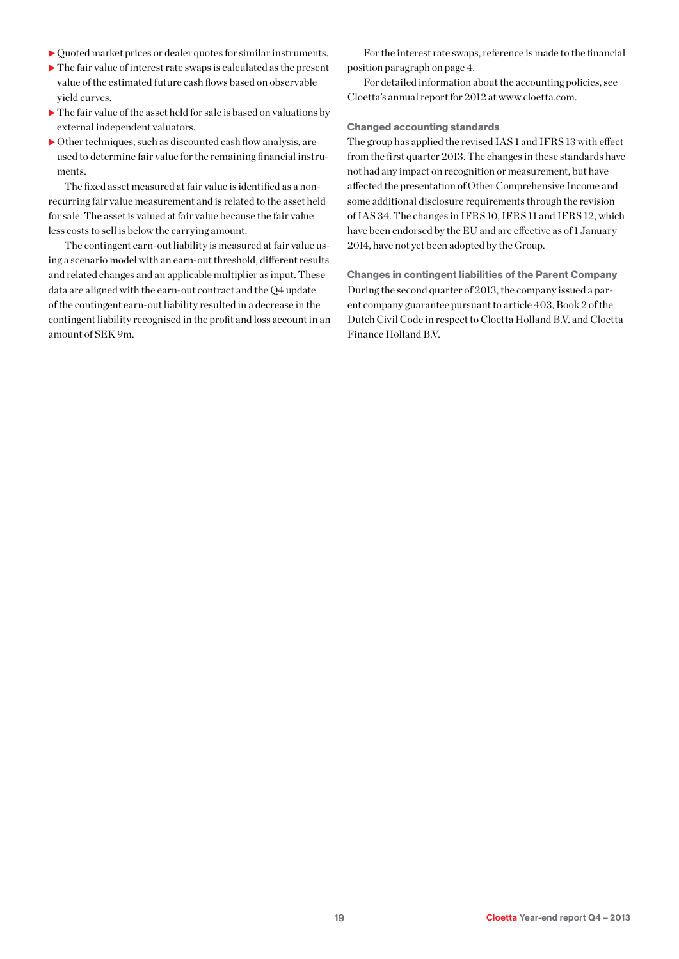- $\triangleright$  Quoted market prices or dealer quotes for similar instruments.
- $\blacktriangleright$  The fair value of interest rate swaps is calculated as the present value of the estimated future cash flows based on observable yield curves.
- $\blacktriangleright$  The fair value of the asset held for sale is based on valuations by external independent valuators.
- $\triangleright$  Other techniques, such as discounted cash flow analysis, are used to determine fair value for the remaining financial instruments.

The fixed asset measured at fair value is identified as a nonrecurring fair value measurement and is related to the asset held for sale. The asset is valued at fair value because the fair value less costs to sell is below the carrying amount.

The contingent earn-out liability is measured at fair value using a scenario model with an earn-out threshold, different results and related changes and an applicable multiplier as input. These data are aligned with the earn-out contract and the Q4 update of the contingent earn-out liability resulted in a decrease in the contingent liability recognised in the profit and loss account in an amount of SEK 9m.

For the interest rate swaps, reference is made to the financial position paragraph on page 4.

For detailed information about the accounting policies, see Cloetta's annual report for 2012 at www.cloetta.com.

#### Changed accounting standards

The group has applied the revised IAS 1 and IFRS 13 with effect from the first quarter 2013. The changes in these standards have not had any impact on recognition or measurement, but have affected the presentation of Other Comprehensive Income and some additional disclosure requirements through the revision of IAS 34. The changes in IFRS 10, IFRS 11 and IFRS 12, which have been endorsed by the EU and are effective as of 1 January 2014, have not yet been adopted by the Group.

Changes in contingent liabilities of the Parent Company During the second quarter of 2013, the company issued a parent company guarantee pursuant to article 403, Book 2 of the Dutch Civil Code in respect to Cloetta Holland B.V. and Cloetta Finance Holland B.V.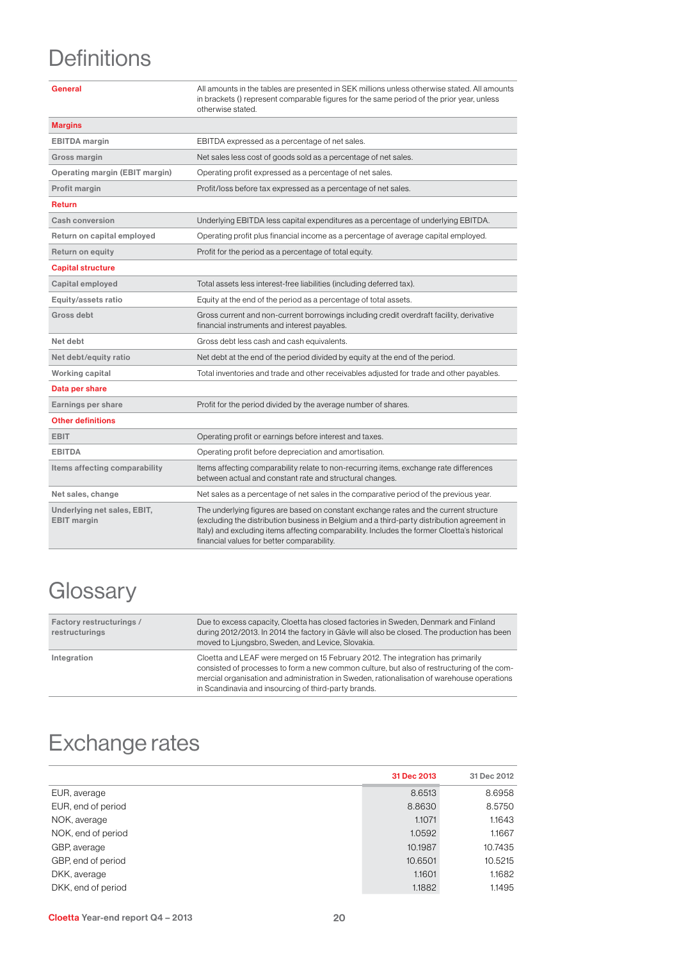# **Definitions**

| General                                           | All amounts in the tables are presented in SEK millions unless otherwise stated. All amounts<br>in brackets () represent comparable figures for the same period of the prior year, unless<br>otherwise stated.                                                                                                                     |
|---------------------------------------------------|------------------------------------------------------------------------------------------------------------------------------------------------------------------------------------------------------------------------------------------------------------------------------------------------------------------------------------|
| <b>Margins</b>                                    |                                                                                                                                                                                                                                                                                                                                    |
| <b>EBITDA</b> margin                              | EBITDA expressed as a percentage of net sales.                                                                                                                                                                                                                                                                                     |
| Gross margin                                      | Net sales less cost of goods sold as a percentage of net sales.                                                                                                                                                                                                                                                                    |
| Operating margin (EBIT margin)                    | Operating profit expressed as a percentage of net sales.                                                                                                                                                                                                                                                                           |
| Profit margin                                     | Profit/loss before tax expressed as a percentage of net sales.                                                                                                                                                                                                                                                                     |
| <b>Return</b>                                     |                                                                                                                                                                                                                                                                                                                                    |
| Cash conversion                                   | Underlying EBITDA less capital expenditures as a percentage of underlying EBITDA.                                                                                                                                                                                                                                                  |
| Return on capital employed                        | Operating profit plus financial income as a percentage of average capital employed.                                                                                                                                                                                                                                                |
| <b>Return on equity</b>                           | Profit for the period as a percentage of total equity.                                                                                                                                                                                                                                                                             |
| <b>Capital structure</b>                          |                                                                                                                                                                                                                                                                                                                                    |
| Capital employed                                  | Total assets less interest-free liabilities (including deferred tax).                                                                                                                                                                                                                                                              |
| Equity/assets ratio                               | Equity at the end of the period as a percentage of total assets.                                                                                                                                                                                                                                                                   |
| Gross debt                                        | Gross current and non-current borrowings including credit overdraft facility, derivative<br>financial instruments and interest payables.                                                                                                                                                                                           |
| Net debt                                          | Gross debt less cash and cash equivalents.                                                                                                                                                                                                                                                                                         |
| Net debt/equity ratio                             | Net debt at the end of the period divided by equity at the end of the period.                                                                                                                                                                                                                                                      |
| Working capital                                   | Total inventories and trade and other receivables adjusted for trade and other payables.                                                                                                                                                                                                                                           |
| Data per share                                    |                                                                                                                                                                                                                                                                                                                                    |
| Earnings per share                                | Profit for the period divided by the average number of shares.                                                                                                                                                                                                                                                                     |
| <b>Other definitions</b>                          |                                                                                                                                                                                                                                                                                                                                    |
| <b>EBIT</b>                                       | Operating profit or earnings before interest and taxes.                                                                                                                                                                                                                                                                            |
| <b>EBITDA</b>                                     | Operating profit before depreciation and amortisation.                                                                                                                                                                                                                                                                             |
| Items affecting comparability                     | Items affecting comparability relate to non-recurring items, exchange rate differences<br>between actual and constant rate and structural changes.                                                                                                                                                                                 |
| Net sales, change                                 | Net sales as a percentage of net sales in the comparative period of the previous year.                                                                                                                                                                                                                                             |
| Underlying net sales, EBIT,<br><b>EBIT</b> margin | The underlying figures are based on constant exchange rates and the current structure<br>(excluding the distribution business in Belgium and a third-party distribution agreement in<br>Italy) and excluding items affecting comparability. Includes the former Cloetta's historical<br>financial values for better comparability. |

# **Glossary**

| Factory restructurings /<br>restructurings | Due to excess capacity, Cloetta has closed factories in Sweden, Denmark and Finland<br>during 2012/2013. In 2014 the factory in Gävle will also be closed. The production has been<br>moved to Ljungsbro, Sweden, and Levice, Slovakia.                                                                                             |
|--------------------------------------------|-------------------------------------------------------------------------------------------------------------------------------------------------------------------------------------------------------------------------------------------------------------------------------------------------------------------------------------|
| Integration                                | Cloetta and LEAF were merged on 15 February 2012. The integration has primarily<br>consisted of processes to form a new common culture, but also of restructuring of the com-<br>mercial organisation and administration in Sweden, rationalisation of warehouse operations<br>in Scandinavia and insourcing of third-party brands. |

# Exchange rates

|                    | 31 Dec 2013 | 31 Dec 2012 |
|--------------------|-------------|-------------|
| EUR, average       | 8.6513      | 8.6958      |
| EUR, end of period | 8.8630      | 8.5750      |
| NOK, average       | 1.1071      | 1.1643      |
| NOK, end of period | 1.0592      | 1.1667      |
| GBP, average       | 10.1987     | 10.7435     |
| GBP, end of period | 10.6501     | 10.5215     |
| DKK, average       | 1.1601      | 1.1682      |
| DKK, end of period | 1.1882      | 1.1495      |